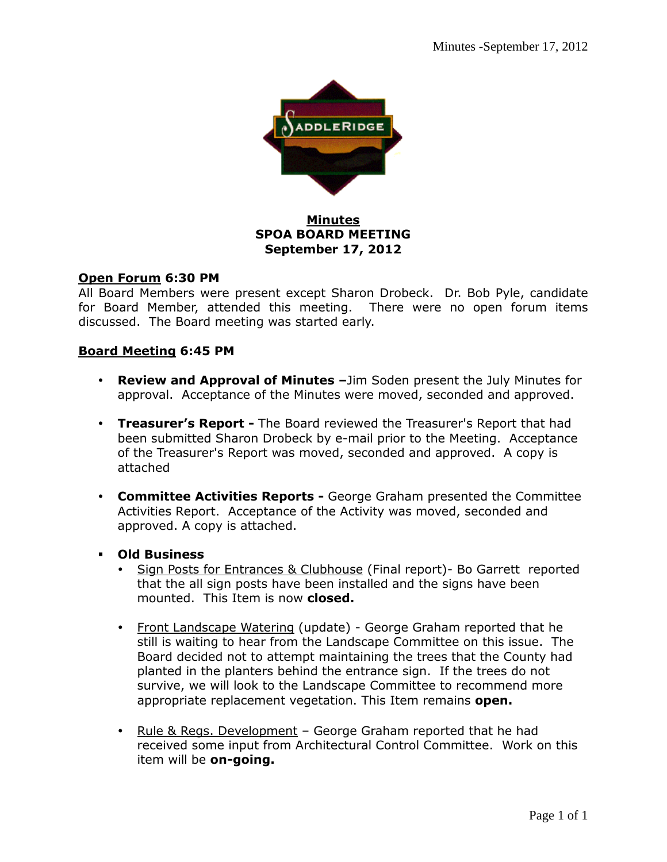

## **Minutes SPOA BOARD MEETING September 17, 2012**

## **Open Forum 6:30 PM**

All Board Members were present except Sharon Drobeck. Dr. Bob Pyle, candidate for Board Member, attended this meeting. There were no open forum items discussed. The Board meeting was started early.

## **Board Meeting 6:45 PM**

- **Review and Approval of Minutes –**Jim Soden present the July Minutes for approval. Acceptance of the Minutes were moved, seconded and approved.
- **Treasurer's Report** The Board reviewed the Treasurer's Report that had been submitted Sharon Drobeck by e-mail prior to the Meeting. Acceptance of the Treasurer's Report was moved, seconded and approved. A copy is attached
- **Committee Activities Reports** George Graham presented the Committee Activities Report. Acceptance of the Activity was moved, seconded and approved. A copy is attached.
- **Old Business** 
	- Sign Posts for Entrances & Clubhouse (Final report)- Bo Garrett reported that the all sign posts have been installed and the signs have been mounted. This Item is now **closed.**
	- Front Landscape Watering (update) George Graham reported that he still is waiting to hear from the Landscape Committee on this issue. The Board decided not to attempt maintaining the trees that the County had planted in the planters behind the entrance sign. If the trees do not survive, we will look to the Landscape Committee to recommend more appropriate replacement vegetation. This Item remains **open.**
	- Rule & Regs. Development George Graham reported that he had received some input from Architectural Control Committee. Work on this item will be **on-going.**